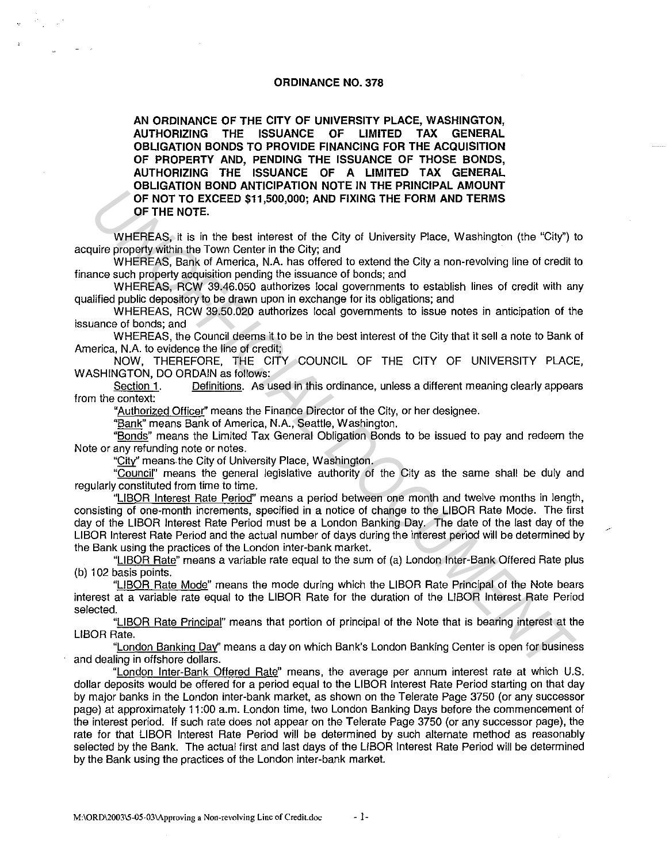#### **ORDINANCE NO. 378**

**AN ORDINANCE OF THE CITY OF UNIVERSITY PLACE, WASHINGTON, AUTHORIZING THE ISSUANCE OF LIMITED TAX GENERAL OBLIGATION BONDS TO PROVIDE FINANCING FOR THE ACQUISITION OF PROPERTY AND, PENDING THE ISSUANCE OF THOSE BONDS, AUTHORIZING THE ISSUANCE OF A LIMITED TAX GENERAL OBLIGATION BOND ANTICIPATION NOTE IN THE PRINCIPAL AMOUNT OF NOT TO EXCEED \$11,500,000; AND FIXING THE FORM AND TERMS OF THE NOTE.** 

WHEREAS, it is in the best interest of the City of University Place, Washington (the "City") to acquire property within the Town Center in the City; and

WHEREAS, Bank of America, N.A. has offered to extend the City a non-revolving line of credit to finance such property acquisition pending the issuance of bonds; and

WHEREAS, RCW 39.46.050 authorizes local governments to establish lines of credit with any qualified public depository to be drawn upon in exchange for its obligations; and

WHEREAS, RCW 39.50.020 authorizes local governments to issue notes in anticipation of the issuance of bonds; and

WHEREAS, the Council deems it to be in the best interest of the City that it sell a note to Bank of America, N.A. to evidence the line of credit;

NOW, THEREFORE, THE CITY COUNCIL OF THE CITY OF UNIVERSITY PLACE, WASHINGTON, DO ORDAIN as follows:

Section 1. Definitions. As used in this ordinance, unless a different meaning clearly appears from the context:

"Authorized Officer" means the Finance Director of the City, or her designee.

"Bank" means Bank of America, N.A., Seattle, Washington.

"Bonds" means the Limited Tax General Obligation Bonds to be issued to pay and redeem the Note or any refunding note or notes.

"City" means the City of University Place, Washington.

"Council" means the general legislative authority of the City as the same shall be duly and regularly constituted from time to time.

"LIBOR Interest Rate Period" means a period between one month and twelve months in length, consisting of one-month increments, specified in a notice of change to the LIBOR Rate Mode. The first day of the UBOR Interest Rate Period must be a London Banking Day. The date of the last day of the LIBOR Interest Rate Period and the actual number of days during the interest period will be determined by the Bank using the practices of the London inter-bank market. CONDITION EXCEED S11,500,000; AND FIXING THE FORM AND TERMS<br>
WHERE AS, it is in the bast interest of the City of University Place, Washington (the "City")<br>
WHERE AS, it is in the David LA bas of and to advand the City and

"LIBOR Rate" means a variable rate equal to the sum of (a) London Inter-Bank Offered Rate plus (b) 102 basis points.

"LIBOR Rate Mode" means the mode during which the UBOR Rate Principal of the Note bears interest at a variable rate equal to the LIBOR Rate for the duration of the UBOR Interest Rate Period selected.

"LIBOR Rate Principal" means that portion of principal of the Note that is bearing interest at the LIBOR Rate.

"London Banking Day" means a day on which Bank's London Banking Center is open for business and dealing in offshore dollars.

"London Inter-Bank Offered Rate" means, the average per annum interest rate at which U.S. dollar deposits would be offered for a period equal to the LIBOR Interest Rate Period starting on that day by major banks in the London inter-bank market, as shown on the Telerate Page 3750 (or any successor page) at approximately 11 :00 a.m. London time, two London Banking Days before the commencement of the interest period. If such rate does not appear on the Telerate Page 3750 (or any successor page), the rate for that LIBOR Interest Rate Period will be determined by such alternate method as reasonably selected by the Bank. The actual first and last days of the LIBOR Interest Rate Period will be determined by the Bank using the practices of the London inter-bank market.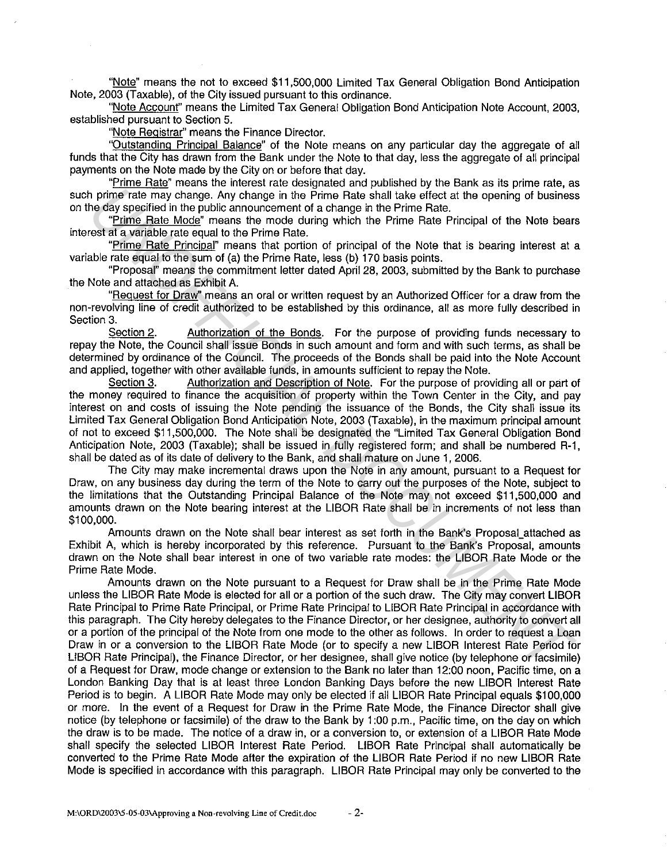"Note" means the not to exceed \$11,500,000 Limited Tax General Obligation Bond Anticipation Note, 2003 (Taxable), of the City issued pursuant to this ordinance.

"Note Account" means the Limited Tax General Obligation Bond Anticipation Note Account, 2003, established pursuant to Section 5.

"Note Registrar" means the Finance Director.

"Outstanding Principal Balance" of the Note means on any particular day the aggregate of all funds that the City has drawn from the Bank under the Note to that day, less the aggregate of all principal payments on the Note made by the City on or before that day.

"Prime Rate" means the interest rate designated and published by the Bank as its prime rate, as such prime rate may change. Any change in the Prime Rate shall take effect at the opening of business on the day specified in the public announcement of a change in the Prime Rate.

"Prime Rate Mode" means the mode during which the Prime Rate Principal of the Note bears interest at a variable rate equal to the Prime Rate.

"Prime Rate Principal" means that portion of principal of the Note that is bearing interest at a variable rate equal to the sum of (a) the Prime Rate, less (b} 170 basis points.

"Proposal" means the commitment letter dated April 28, 2003, submitted by the Bank to purchase the Note and attached as Exhibit A.

"Request for Draw" means an oral or written request by an Authorized Officer for a draw from the non-revolving line of credit authorized to be established by this ordinance, all as more fully described in Section 3.

Section 2. Authorization of the Bonds. For the purpose of providing funds necessary to repay the Note, the Council shall issue Bonds in such amount and form and with such terms, as shall be determined by ordinance of the Council. The proceeds of the Bonds shall be paid into the Note Account and applied, together with other available funds, in amounts sufficient to repay the Note.<br>Section 3. Authorization and Description of Note. For the purpose of prov

Authorization and Description of Note. For the purpose of providing all or part of the money required to finance the acquisition of property within the Town Center in the City, and pay interest on and costs of issuing the Note pending the issuance of the Bonds, the City shall issue its Limited Tax General Obligation Bond Anticipation Note, 2003 (Taxable), in the maximum principal amount of not to exceed \$11,500,000. The Note shall be designated the "Limited Tax General Obligation Bond Anticipation Note, 2003 (Taxable); shall be issued in fully registered form; and shall be numbered R-1, shall be dated as of its date of delivery to the Bank, and shall mature on June 1, 2006.

The City may make incremental draws upon the Note in any amount, pursuant to a Request for Draw, on any business day during the term of the Note to carry out the purposes of the Note, subject to the limitations that the Outstanding Principal Balance of the Note may not exceed \$11,500,000 and amounts drawn on the Note bearing interest at the LIBOR Rate shall be in increments of not less than \$100,000.

Amounts drawn on the Note shall bear interest as set forth in the Bank's Proposal\_attached as Exhibit A, which is hereby incorporated by this reference. Pursuant to the Bank's Proposal, amounts drawn on the Note shall bear interest in one of two variable rate modes: the LIBOR Rate Mode or the Prime Rate Mode.

Amounts drawn on the Note pursuant to a Request for Draw shall be in the Prime Rate Mode unless the LIBOR Rate Mode is elected for all or a portion of the such draw. The City may convert LIBOR Rate Principal to Prime Rate Principal, or Prime Rate Principal to LIBOR Rate Principal in accordance with this paragraph. The City hereby delegates to the Finance Director, or her designee, authority to convert all or a portion of the principal of the Note from one mode to the other as follows. In order to request a Loan Draw in or a conversion to the LIBOR Rate Mode (or to specify a new LIBOR Interest Rate Period for LIBOR Rate Principal), the Finance Director, or her designee, shall give notice (by telephone or facsimile) of a Request for Draw, mode change or extension to the Bank no later than 12:00 noon, Pacific time, on a London Banking Day that is at least three London Banking Days before the new LIBOR Interest Rate Period is to begin. A LIBOR Rate Mode may only be elected if all LIBOR Rate Principal equals \$100,000 or more. In the event of a Request for Draw in the Prime Rate Mode, the Finance Director shall give notice (by telephone or facsimile) of the draw to the Bank by 1 :00 p.m., Pacific time, on the day on which the draw is to be made. The notice of a draw in, or a conversion to, or extension of a LIBOR Rate Mode shall specify the selected LIBOR Interest Rate Period. LIBOR Rate Principal shall automatically be converted to the Prime Rate Mode after the expiration of the LIBOR Rate Period if no new LIBOR Rate Mode is specified in accordance with this paragraph. LIBOR Rate Principal may only be converted to the priminerials may change in the Prime Rate shall take effect at the opening of business<br>
In prime Rate Models" means that production the Prime Rate Schools" means that the prime Rate Trincip Rate Trincip Rate Trincip Rate T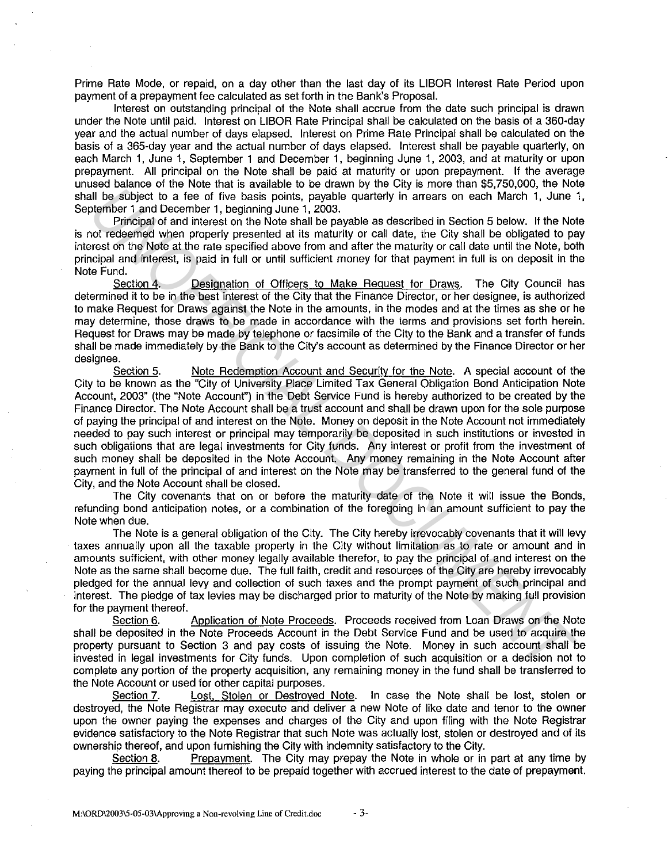Prime Rate Mode, or repaid, on a day other than the last day of its LIBOR Interest Rate Period upon payment of a prepayment fee calculated as set forth in the Bank's Proposal.

Interest on outstanding principal of the Note shall accrue from the date such principal is drawn under the Note until paid. Interest on LIBOR Rate Principal shall be calculated on the basis of a 360-day year and the actual number of days elapsed. Interest on Prime Rate Principal shall be calculated on the basis of a 365-day year and the actual number of days elapsed. Interest shall be payable quarterly, on each March 1, June 1, September 1 and December 1, beginning June 1, 2003, and at maturity or upon prepayment. All principal on the Note shall be paid at maturity or upon prepayment. If the average unused balance of the Note that is available to be drawn by the City is more than \$5,750,000, the Note shall be subject to a tee of five basis points, payable quarterly in arrears on each March 1, June 1, September 1 and December 1, beginning June 1, 2003.

Principal of and interest on the Note shall be payable as described in Section 5 below. It the Note is not redeemed when properly presented at its maturity or call date, the City shall be obligated to pay interest on the Note at the rate specified above from and after the maturity or call date until the Note, both principal and interest, is paid in full or until sufficient money tor that payment in full is on deposit in the Note Fund.

Section 4. Designation of Officers to Make Request for Draws. The City Council has determined it to be in the best interest of the City that the Finance Director, or her designee, is authorized to make Request tor Draws against the Note in the amounts, in the modes and at the times as she or he may determine, those draws to be made in accordance with the terms and provisions set forth herein. Request for Draws may be made by telephone or facsimile of the City to the Bank and a transfer of funds shall be made immediately by the Bank to the City's account as determined by the Finance Director or her designee.

Section 5. Note Redemption Account and Security tor the Note. A special account of the City to be known as the "City of University Place Limited Tax General Obligation Bond Anticipation Note Account, 2003" (the "Note Account") in the Debt Service Fund is hereby authorized to be created by the Finance Director. The Note Account shall be a trust account and shall be drawn upon tor the sole purpose of paying the principal of and interest on the Note. Money on deposit in the Note Account not immediately needed to pay such interest or principal may temporarily be deposited in such institutions or invested in such obligations that are legal investments tor City funds. Any interest or profit from the investment of such money shall be deposited in the Note Account. Any money remaining in the Note Account after payment in full of the principal of and interest on the Note may be transferred to the general fund of the City, and the Note Account shall be closed. *UI* be a tublect to a free of the basis points, payable quarterly in arreas on each Machi 1, June a subject to a free of the basis points, payable quarterly in arreas on each Machi 1, June 2020<br>Momber 1 and December 1, be

The City covenants that on or before the maturity date of the Note it will issue the Bonds, refunding bond anticipation notes, or a combination of the foregoing in an amount sufficient to pay the Note when due.

The Note is a general obligation of the City. The City hereby irrevocably covenants that it will levy taxes annually upon all the taxable property in the City without limitation as to rate or amount and in amounts sufficient, with other money legally available therefor, to pay the principal of and interest on the Note as the same shall become due. The full faith, credit and resources of the City are hereby irrevocably pledged tor the annual levy and collection of such taxes and the prompt payment of such principal and interest. The pledge of tax levies may be discharged prior to maturity of the Note by making full provision for the payment thereof.

Section 6. Application of Note Proceeds. Proceeds received from Loan Draws on the Note shall be deposited in the Note Proceeds Account in the Debt Service Fund and be used to acquire the property pursuant to Section 3 and pay costs of issuing the Note. Money in such account shall be invested in legal investments tor City funds. Upon completion of such acquisition or a decision not to complete any portion of the property acquisition, any remaining money in the fund shall be transferred to the Note Account or used for other capital purposes.

Section 7. Lost, Stolen or Destroyed Note. In case the Note shall be lost, stolen or destroyed, the Note Registrar may execute and deliver a new Note of like date and tenor to the owner upon the owner paying the expenses and charges of the City and upon filing with the Note Registrar evidence satisfactory to the Note Registrar that such Note was actually lost, stolen or destroyed and of its ownership thereof, and upon furnishing the City with indemnity satisfactory to the City.

Section 8. Prepayment. The City may prepay the Note in whole or in part at any time by paying the principal amount thereof to be prepaid together with accrued interest to the date of prepayment.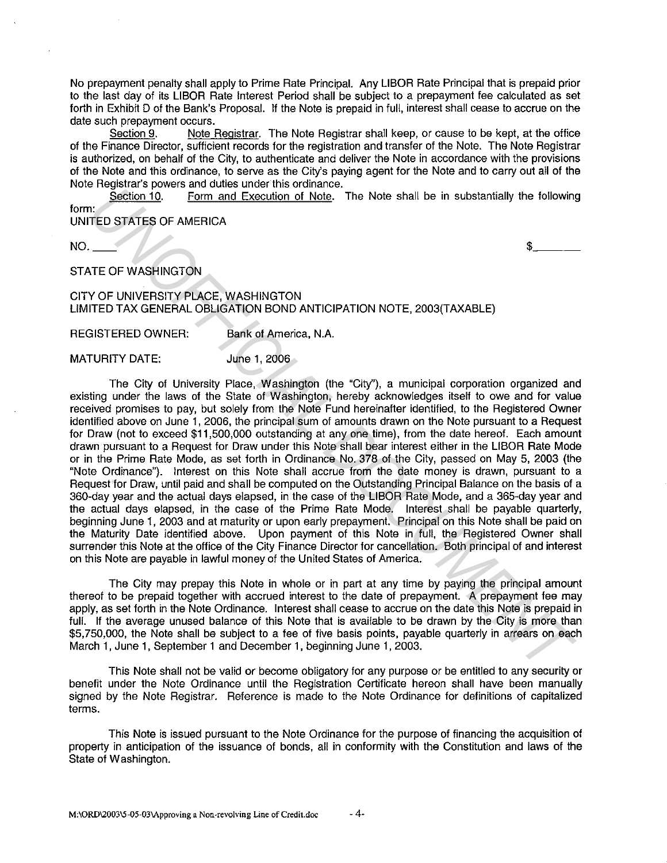No prepayment penalty shall apply to Prime Rate Principal. Any LIBOR Rate Principal that is prepaid prior to the last day of its LIBOR Rate Interest Period shall be subject to a prepayment fee calculated as set forth in Exhibit D of the Bank's Proposal. If the Note is prepaid in full, interest shall cease to accrue on the date such prepayment occurs.<br>Section 9. Note i

Note Registrar. The Note Registrar shall keep, or cause to be kept, at the office of the Finance Director, sufficient records for the registration and transfer of the Note. The Note Registrar is authorized, on behalf of the City, to authenticate and deliver the Note in accordance with the provisions of the Note and this ordinance, to serve as the City's paying agent for the Note and to carry out all of the Note Registrar's powers and duties under this ordinance.

Section 10. Form and Execution of Note. The Note shall be in substantially the following form:

UNITED STATES OF AMERICA

 $NO.$   $$$ 

## STATE OF WASHINGTON

### CITY OF UNIVERSITY PLACE, WASHINGTON LIMITED TAX GENERAL OBLIGATION BOND ANTICIPATION NOTE, 2003(TAXABLE)

REGISTERED OWNER: Bank of America, N.A.

MATURITY DATE: June 1, 2006

The City of University Place, Washington (the "City"), a municipal corporation organized and existing under the laws of the State of Washington, hereby acknowledges itself to owe and for value received promises to pay, but solely from the Note Fund hereinafter identified, to the Registered Owner identified above on June 1, 2006, the principal sum of amounts drawn on the Note pursuant to a Request for Draw (not to exceed \$11,500,000 outstanding at any one time), from the date hereof. Each amount drawn pursuant to a Request for Draw under this Note shall bear interest either in the LIBOR Rate Mode or in the Prime Rate Mode, as set forth in Ordinance No. 378 of the City, passed on May 5, 2003 (the "Note Ordinance"). Interest on this Note shall accrue from the date money is drawn, pursuant to a Request for Draw, until paid and shall be computed on the Outstanding Principal Balance on the basis of a 360-day year and the actual days elapsed, in the case of the LIBOR Rate Mode, and a 365-day year and the actual days elapsed, in the case of the Prime Rate Mode. Interest shall be payable quarterly, beginning June 1, 2003 and at maturity or upon early prepayment. Principal on this Note shall be paid on the Maturity Date identified above. Upon payment of this Note in full, the Registered Owner shall surrender this Note at the office of the City Finance Director for cancellation. Both principal of and interest on this Note are payable in lawful money of the United States of America. **Example 12**<br> **UNITED STATES OF AMERICA**<br> **UNITED STATES OF AMERICA CONDUCT THE RELEASE CONDUCT THE STATES OF AMERICA POSTABLE THE DETAINER OF A SERVER AND CONDUCT THE OF WASHINGTON<br>
YOT UNIVERSITY PLACE, WASHINGTON<br>
YOT U** 

The City may prepay this Note in whole or in part at any time by paying the principal amount thereof to be prepaid together with accrued interest to the date of prepayment. A prepayment lee may apply, as set forth in the Note Ordinance. Interest shall cease to accrue on the date this Note is prepaid in full. If the average unused balance of this Note that is available to be drawn by the City is more than \$5,750,000, the Note shall be subject to a fee of five basis points, payable quarterly in arrears on each March 1, June 1, September 1 and December 1, beginning June 1, 2003.

This Note shall not be valid or become obligatory for any purpose or be entitled to any security or benefit under the Note Ordinance until the Registration Certificate hereon shall have been manually signed by the Note Registrar. Reference is made to the Note Ordinance for definitions of capitalized terms.

This Note is issued pursuant to the Note Ordinance for the purpose of financing the acquisition of property in anticipation of the issuance of bonds, all in conformity with the Constitution and laws of the State of Washington.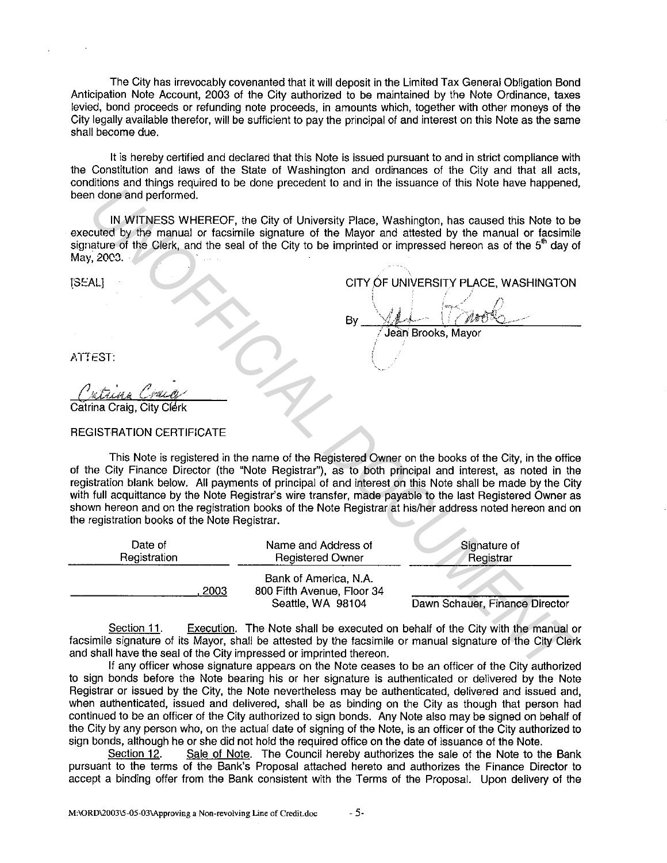The City has irrevocably covenanted that it will deposit in the Limited Tax General Obligation Bond Anticipation Note Account, 2003 of the City authorized to be maintained by the Note Ordinance, taxes levied, bond proceeds or refunding note proceeds, in amounts which, together with other moneys of the City legally available therefor, will be sufficient to pay the principal of and interest on this Note as the same shall become due.

It is hereby certified and declared that this Note is issued pursuant to and in strict compliance with the Constitution and laws of the State of Washington and ordinances of the City and that all acts, conditions and things required to be done precedent to and in the issuance of this Note have happened, been done and performed.

IN WITNESS WHEREOF, the City of University Place, Washington, has caused this Note to be executed by the manual or facsimile signature of the Mayor and attested by the manual or facsimile signature of the Clerk, and the seal of the City to be imprinted or impressed hereon as of the 5<sup>th</sup> day of May, 2003.

|    | CITY OF UNIVERSITY PLACE, WASHINGTON |  |
|----|--------------------------------------|--|
|    |                                      |  |
| Bv |                                      |  |

ATTEST:

### REGISTRATION CERTIFICATE

This Note is registered in the name of the Registered Owner on the books of the City, in the office of the City Finance Director (the "Note Registrar"), as to both principal and interest, as noted in the registration blank below. All payments of principal of and interest on this Note shall be made by the City with full acquittance by the Note Registrar's wire transfer, made payable to the last Registered Owner as shown hereon and on the registration books of the Note Registrar at his/her address noted hereon and on the registration books of the Note Registrar. IN WITHIESS WHEREOF, the Gity of University Place, Washington, has caused this Note to be<br>
united by the manual or faces in the Separature of the Mayor and attented by the manual or faces<br>
in the Gity, and the seal of th

| Date of      | Name and Address of                                                      | Signature of                   |
|--------------|--------------------------------------------------------------------------|--------------------------------|
| Registration | <b>Registered Owner</b>                                                  | Registrar                      |
| 2003         | Bank of America, N.A.<br>800 Fifth Avenue, Floor 34<br>Seattle, WA 98104 | Dawn Schauer, Finance Director |

Section 11. Execution. The Note shall be executed on behalf of the City with the manual or facsimile signature of its Mayor, shall be attested by the facsimile or manual signature of the City Clerk and shall have the seal of the City impressed or imprinted thereon.

If any officer whose signature appears on the Note ceases to be an officer of the City authorized to sign bonds before the Note bearing his or her signature is authenticated or delivered by the Note Registrar or issued by the City, the Note nevertheless may be authenticated, delivered and issued and, when authenticated, issued and delivered, shall be as binding on the City as though that person had continued to be an officer of the City authorized to sign bonds. Any Note also may be signed on behalf of the City by any person who, on the actual date of signing of the Note, is an officer of the City authorized to sign bonds, although he or she did not hold the required office on the date of issuance of the Note.

Section 12. Sale of Note. The Council hereby authorizes the sale of the Note to the Bank pursuant to the terms of the Bank's Proposal attached hereto and authorizes the Finance Director to accept a binding offer from the Bank consistent with the Terms of the Proposal. Upon delivery of the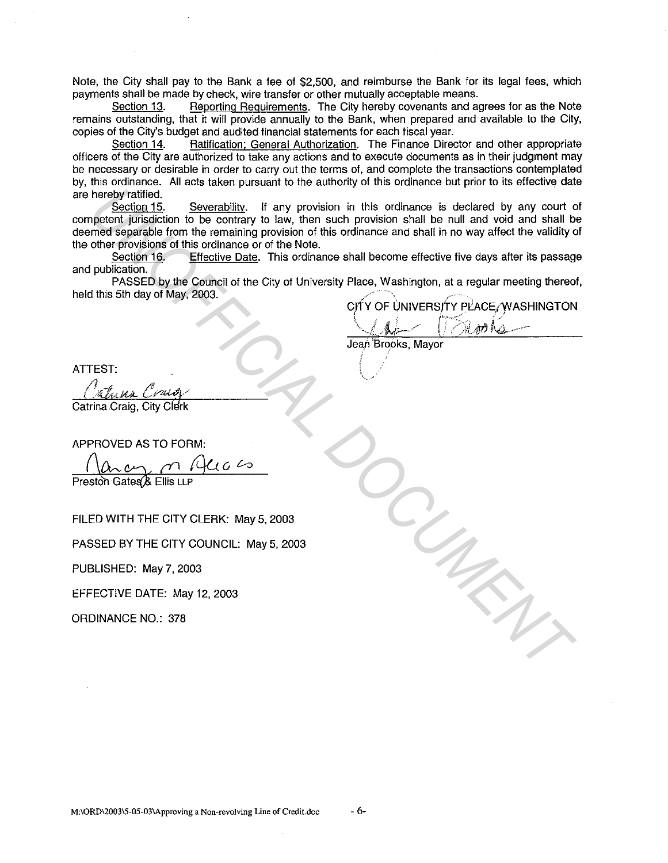Note, the City shall pay to the Bank a fee of \$2,500, and reimburse the Bank for its legal fees, which payments shall be made by check, wire transfer or other mutually acceptable means.

Section 13. Reporting Requirements. The City hereby covenants and agrees for as the Note remains outstanding, that it will provide annually to the Bank, when prepared and available to the City, copies of the City's budget and audited financial statements for each fiscal year.

Section 14. • Ratification; General Authorization. The Finance Director and other appropriate officers of the City are authorized to take any actions and to execute documents as in their judgment may be necessary or desirable in order to carry out the terms of, and complete the transactions contemplated by, this ordinance. All acts taken pursuant to the authority of this ordinance but prior to its effective date are hereby ratified.<br>Section 15.

Severability. If any provision in this ordinance is declared by any court of competent jurisdiction to be contrary to law, then such provision shall be null and void and shall be deemed separable from the remaining provision of this ordinance and shall in no way affect the validity of the other provisions of this ordinance or of the Note. **Example 11.1 Severability.** If any provision in this ordinance is declared by any court of the control of the control to avoid and shall be null and wide and shall be control to the control of this ordinance and shall in

Section 16. Effective Date. This ordinance shall become effective five days after its passage and publication.

PASSED by the Council of the City of University Place, Washington, at a regular meeting thereof, held this 5th day of May, 2003.

CITY OF UNIVERSITY PLACE. WASHINGTON

 $\sqrt{24}-1200$ Jean Brooks, Mayor

 $\backslash$  .

Catrina Craig, City Clerk

APPROVED AS TO FORM:

FILED WITH THE CITY CLERK: May 5, 2003

PASSED BY THE CITY COUNCIL: May 5, 2003

PUBLISHED: May 7, 2003

EFFECTIVE DATE: May 12, 2003

ORDINANCE NO.: 378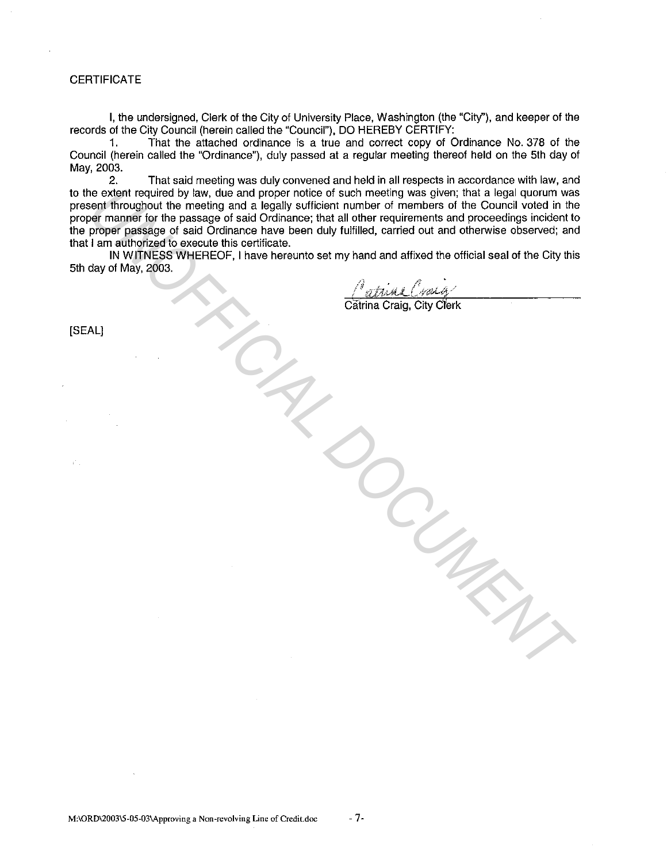## **CERTIFICATE**

I, the undersigned, Clerk of the City of University Place, Washington (the "City''), and keeper of the records of the City Council {herein called the "Council"), DO HEREBY CERTIFY:

1. That the attached ordinance is a true and correct copy of Ordinance No. 378 of the Council (herein called the "Ordinance"), duly passed at a regular meeting thereof held on the 5th day of May, 2003.<br>2.

2. That said meeting was duly convened and held in all respects in accordance with law, and to the extent required by law, due and proper notice of such meeting was given; that a legal quorum was present throughout the meeting and a legally sufficient number of members of the Council voted in the proper manner for the passage of said Ordinance; that all other requirements and proceedings incident to the proper passage of said Ordinance have been duly fulfilled, carried out and otherwise observed; and that I am authorized to execute this certificate. e extent required by law, due and proper noise of the counter of monders of the Counter with a legal quorum was a given; that a legal quorum was a present of the meeting and a legally sufficient number of members of the Co

IN WITNESS WHEREOF, I have hereunto set my hand and affixed the official seal of the City this 5th day of May, 2003.

*Cathina Craig* 

[SEAL]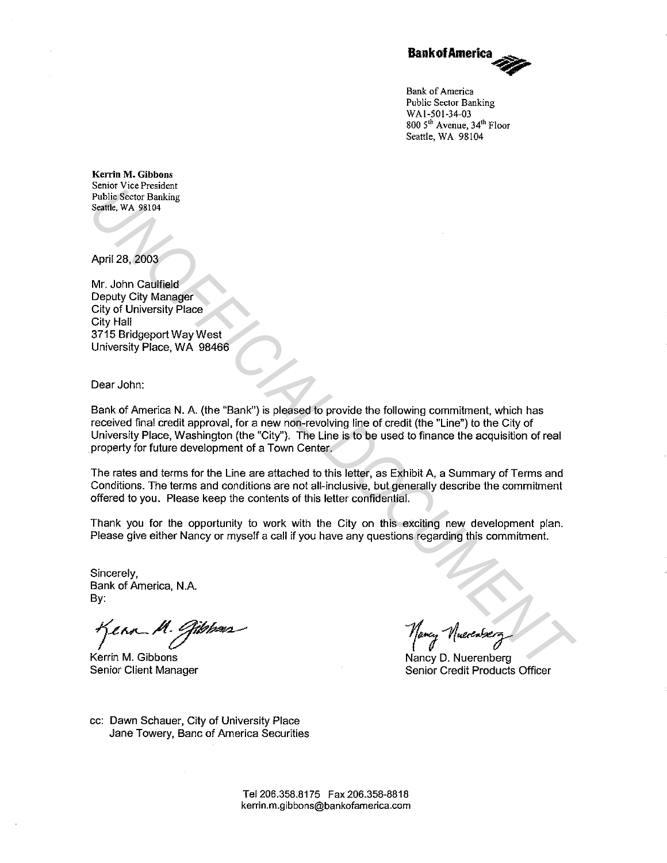

**Bank of America Public Sector Banking**  WAl-501-34-03 **800 5th Avenue, 34th Floor**  Seattle, WA 98104

**Kerrin M. Gibbons Senior Vice President Public Sector Banking Seattle, WA 98104** 

April 28, 2003

Mr. John Caulfield Deputy City Manager City of University Place City Hall 3715 Bridgeport Way West University Place, WA 98466

Dear John:

Bank of America N. A. (the "Bank") is pleased to provide the following commitment. which has received final credit approval, for a new non-revolving line of credit (the "Line") to the City of University Place, Washington (the "City"). The Line is to be used to finance the acquisition of real property for future development of a Town Center. **Pairing Secure Transfers**<br> **Pairing Secure Transfers**<br> **Units Secure Transfers**<br> **University Place**<br> **City of University Place**<br> **City of University Place**<br> **City of University Place**<br> **University Place**<br> **University Plac** 

The rates and terms for the Line are attached to this letter, as Exhibit A. a Summary of Terms and Conditions. The terms and conditions are not all-inclusive. but generally describe the commitment offered to you. Please keep the contents of this letter confidential.

Thank you for the opportunity to work with the City on this exciting new development plan. Please give either Nancy or myself a call if you have any questions regarding this commitment.

Sincerely, Bank of America, N.A. By:

 $eta_{en}$ 

Kerrin M. Gibbons Senior Client Manager

1 www.

Nancy D. Nuerenberg Senior Credit Products Officer

cc: Dawn Schauer, City of University Place Jane Towery, Banc of America Securities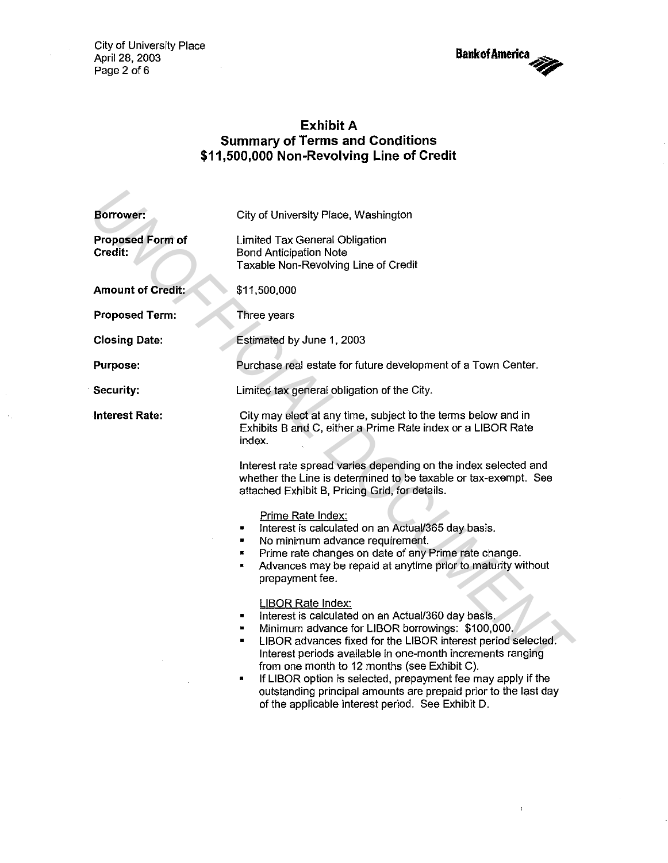City of University Place April 28, 2003 Page 2 of 6

 $\hat{\mathcal{F}}_1$ 

**BankofAmerlca ....** 

 $\bar{z}$ 

 $\bar{V}$ 

# **Exhibit A Summary of Terms and Conditions \$11,500,000 Non-Revolving Line of Credit**

| Borrower:                          | City of University Place, Washington                                                                                                                                                                                                                                                                                                                                                                                                                                                                                    |  |
|------------------------------------|-------------------------------------------------------------------------------------------------------------------------------------------------------------------------------------------------------------------------------------------------------------------------------------------------------------------------------------------------------------------------------------------------------------------------------------------------------------------------------------------------------------------------|--|
| <b>Proposed Form of</b><br>Credit: | Limited Tax General Obligation<br><b>Bond Anticipation Note</b><br>Taxable Non-Revolving Line of Credit                                                                                                                                                                                                                                                                                                                                                                                                                 |  |
| <b>Amount of Credit:</b>           | \$11,500,000                                                                                                                                                                                                                                                                                                                                                                                                                                                                                                            |  |
| <b>Proposed Term:</b>              | Three years                                                                                                                                                                                                                                                                                                                                                                                                                                                                                                             |  |
| <b>Closing Date:</b>               | Estimated by June 1, 2003                                                                                                                                                                                                                                                                                                                                                                                                                                                                                               |  |
| Purpose:                           | Purchase real estate for future development of a Town Center.                                                                                                                                                                                                                                                                                                                                                                                                                                                           |  |
| Security:                          | Limited tax general obligation of the City.                                                                                                                                                                                                                                                                                                                                                                                                                                                                             |  |
| <b>Interest Rate:</b>              | City may elect at any time, subject to the terms below and in<br>Exhibits B and C, either a Prime Rate index or a LIBOR Rate<br>index.                                                                                                                                                                                                                                                                                                                                                                                  |  |
|                                    | Interest rate spread varies depending on the index selected and<br>whether the Line is determined to be taxable or tax-exempt. See<br>attached Exhibit B, Pricing Grid, for details.                                                                                                                                                                                                                                                                                                                                    |  |
|                                    | Prime Rate Index:<br>Interest is calculated on an Actual/365 day basis.<br>No minimum advance requirement.<br>Prime rate changes on date of any Prime rate change.<br>в.<br>Advances may be repaid at anytime prior to maturity without<br>×.<br>prepayment fee.                                                                                                                                                                                                                                                        |  |
|                                    | <b>LIBOR Rate Index:</b><br>Interest is calculated on an Actual/360 day basis.<br>٠<br>Minimum advance for LIBOR borrowings: \$100,000.<br>LIBOR advances fixed for the LIBOR interest period selected.<br>٠<br>Interest periods available in one-month increments ranging<br>from one month to 12 months (see Exhibit C).<br>If LIBOR option is selected, prepayment fee may apply if the<br>п<br>outstanding principal amounts are prepaid prior to the last day<br>of the applicable interest period. See Exhibit D. |  |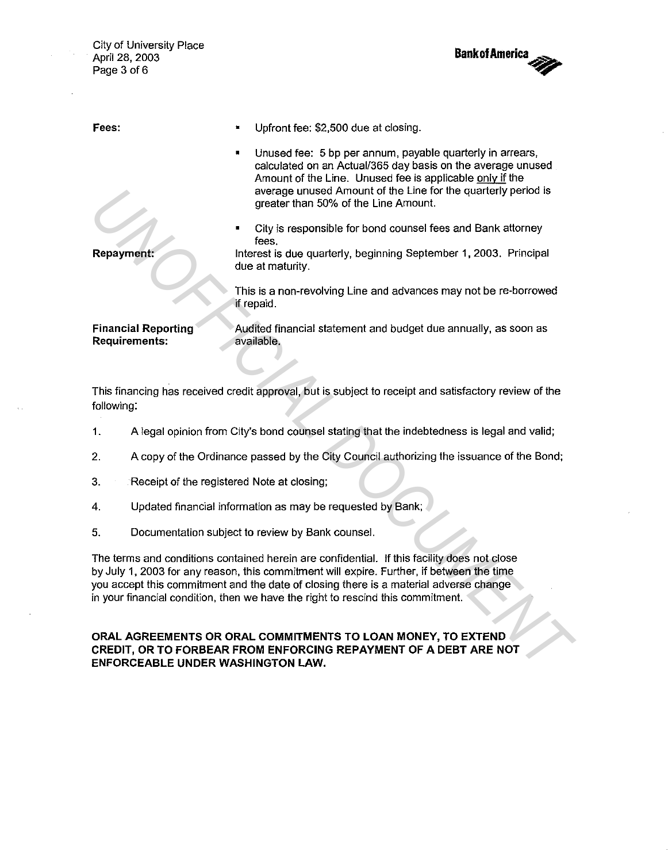City of University Place April 28, 2003 Page 3 of 6



| Fees:                                                                                                                                                                                                                                                                                                                                                                | Upfront fee: \$2,500 due at closing.                                                                                                                                                                                                                                                                                                                                                                                                                                                                                               |  |  |  |
|----------------------------------------------------------------------------------------------------------------------------------------------------------------------------------------------------------------------------------------------------------------------------------------------------------------------------------------------------------------------|------------------------------------------------------------------------------------------------------------------------------------------------------------------------------------------------------------------------------------------------------------------------------------------------------------------------------------------------------------------------------------------------------------------------------------------------------------------------------------------------------------------------------------|--|--|--|
| <b>Repayment:</b>                                                                                                                                                                                                                                                                                                                                                    | Unused fee: 5 bp per annum, payable quarterly in arrears,<br>calculated on an Actual/365 day basis on the average unused<br>Amount of the Line. Unused fee is applicable only if the<br>average unused Amount of the Line for the quarterly period is<br>greater than 50% of the Line Amount.<br>City is responsible for bond counsel fees and Bank attorney<br>fees.<br>Interest is due quarterly, beginning September 1, 2003. Principal<br>due at maturity.<br>This is a non-revolving Line and advances may not be re-borrowed |  |  |  |
|                                                                                                                                                                                                                                                                                                                                                                      | if repaid.                                                                                                                                                                                                                                                                                                                                                                                                                                                                                                                         |  |  |  |
| <b>Financial Reporting</b><br><b>Requirements:</b>                                                                                                                                                                                                                                                                                                                   | Audited financial statement and budget due annually, as soon as<br>available.                                                                                                                                                                                                                                                                                                                                                                                                                                                      |  |  |  |
| This financing has received credit approval, but is subject to receipt and satisfactory review of the<br>following:                                                                                                                                                                                                                                                  |                                                                                                                                                                                                                                                                                                                                                                                                                                                                                                                                    |  |  |  |
| 1.                                                                                                                                                                                                                                                                                                                                                                   | A legal opinion from City's bond counsel stating that the indebtedness is legal and valid;                                                                                                                                                                                                                                                                                                                                                                                                                                         |  |  |  |
| 2.                                                                                                                                                                                                                                                                                                                                                                   | A copy of the Ordinance passed by the City Council authorizing the issuance of the Bond;                                                                                                                                                                                                                                                                                                                                                                                                                                           |  |  |  |
| 3.                                                                                                                                                                                                                                                                                                                                                                   | Receipt of the registered Note at closing;                                                                                                                                                                                                                                                                                                                                                                                                                                                                                         |  |  |  |
| 4.                                                                                                                                                                                                                                                                                                                                                                   | Updated financial information as may be requested by Bank;                                                                                                                                                                                                                                                                                                                                                                                                                                                                         |  |  |  |
| 5.                                                                                                                                                                                                                                                                                                                                                                   | Documentation subject to review by Bank counsel.                                                                                                                                                                                                                                                                                                                                                                                                                                                                                   |  |  |  |
| The terms and conditions contained herein are confidential. If this facility does not close<br>by July 1, 2003 for any reason, this commitment will expire. Further, if between the time<br>you accept this commitment and the date of closing there is a material adverse change<br>in your financial condition, then we have the right to rescind this commitment. |                                                                                                                                                                                                                                                                                                                                                                                                                                                                                                                                    |  |  |  |
| ORAL AGREEMENTS OR ORAL COMMITMENTS TO LOAN MONEY, TO EXTEND<br>CREDIT, OR TO FORBEAR FROM ENFORCING REPAYMENT OF A DEBT ARE NOT<br>ENFORCEABLE UNDER WASHINGTON LAW.                                                                                                                                                                                                |                                                                                                                                                                                                                                                                                                                                                                                                                                                                                                                                    |  |  |  |

- 1. A legal opinion from City's bond counsel stating that the indebtedness is legal and valid;
- 2. A copy of the Ordinance passed by the City Council authorizing the issuance of the Bond;
- 3. Receipt of the registered Note at closing;
- 4. Updated financial information as may be requested by Bank;
- 5. Documentation subject to review by Bank counsel.

## **ORAL AGREEMENTS OR ORAL COMMITMENTS TO LOAN MONEY, TO EXTEND CREDIT, OR TO FORBEAR FROM ENFORCING REPAYMENT OF A DEBT ARE NOT ENFORCEABLE UNDER WASHINGTON LAW.**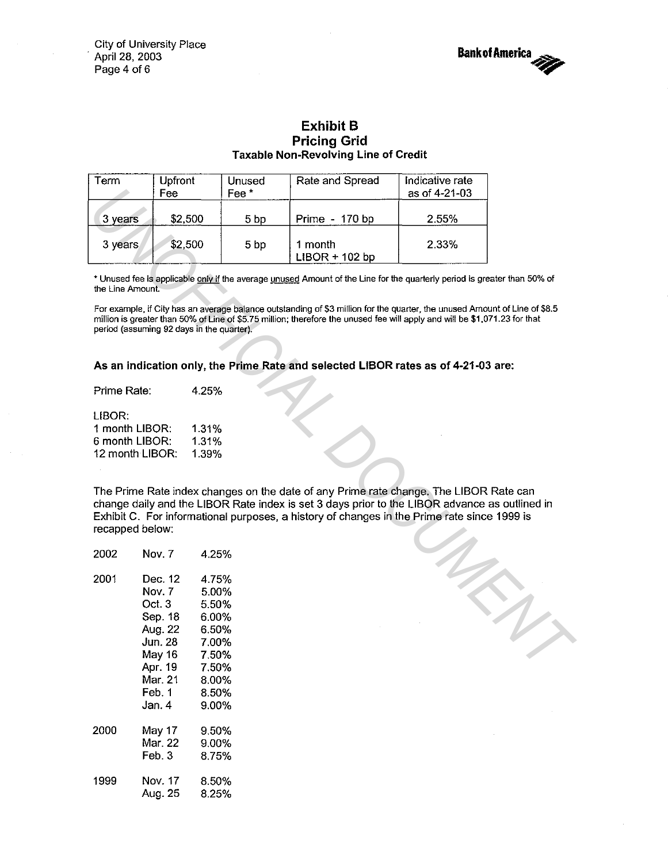City of University Place . April 28, 2003 Page 4 of 6



## Exhibit B Pricing Grid Taxable Non-Revolving Line of Credit

| Term                                                                                                                                                                                                                                                                                                     | Upfront<br>Fee                                                                                                                                                   | <b>Unused</b><br>Fee <sup>*</sup> | Rate and Spread                                                                                                          | Indicative rate<br>as of 4-21-03 |  |
|----------------------------------------------------------------------------------------------------------------------------------------------------------------------------------------------------------------------------------------------------------------------------------------------------------|------------------------------------------------------------------------------------------------------------------------------------------------------------------|-----------------------------------|--------------------------------------------------------------------------------------------------------------------------|----------------------------------|--|
| 3 years                                                                                                                                                                                                                                                                                                  | \$2,500                                                                                                                                                          | 5 <sub>bp</sub>                   | Prime - 170 bp                                                                                                           | 2.55%                            |  |
| 3 years                                                                                                                                                                                                                                                                                                  | \$2,500                                                                                                                                                          | 5 <sub>bp</sub>                   | 1 month<br>$LIBOR + 102 bp$                                                                                              | 2.33%                            |  |
| the Line Amount.                                                                                                                                                                                                                                                                                         |                                                                                                                                                                  |                                   | * Unused fee is applicable only if the average unused Amount of the Line for the quarterly period is greater than 50% of |                                  |  |
| For example, if City has an average balance outstanding of \$3 million for the quarter, the unused Amount of Line of \$8.5<br>million is greater than 50% of Line of \$5.75 million; therefore the unused fee will apply and will be \$1,071.23 for that<br>period (assuming 92 days in the quarter).    |                                                                                                                                                                  |                                   |                                                                                                                          |                                  |  |
| As an indication only, the Prime Rate and selected LIBOR rates as of 4-21-03 are:                                                                                                                                                                                                                        |                                                                                                                                                                  |                                   |                                                                                                                          |                                  |  |
|                                                                                                                                                                                                                                                                                                          |                                                                                                                                                                  |                                   |                                                                                                                          |                                  |  |
| Prime Rate:                                                                                                                                                                                                                                                                                              | 4.25%                                                                                                                                                            |                                   |                                                                                                                          |                                  |  |
| LIBOR:<br>1 month LIBOR:<br>1.31%<br>6 month LIBOR:<br>1.31%<br>12 month LIBOR:<br>1.39%                                                                                                                                                                                                                 |                                                                                                                                                                  |                                   |                                                                                                                          |                                  |  |
| The Prime Rate index changes on the date of any Prime rate change. The LIBOR Rate can<br>change daily and the LIBOR Rate index is set 3 days prior to the LIBOR advance as outlined in<br>Exhibit C. For informational purposes, a history of changes in the Prime rate since 1999 is<br>recapped below: |                                                                                                                                                                  |                                   |                                                                                                                          |                                  |  |
| 2002                                                                                                                                                                                                                                                                                                     | Nov. 7<br>4.25%                                                                                                                                                  |                                   |                                                                                                                          |                                  |  |
| 2001                                                                                                                                                                                                                                                                                                     | Dec. 12<br>4.75%<br>Nov. 7<br>5.00%<br>Oct. 3<br>5.50%<br>Sep. 18<br>6.00%<br>Aug. 22<br>6.50%<br><b>Jun. 28</b><br>7.00%<br>May 16<br>7.50%<br>Apr. 19<br>7.50% |                                   |                                                                                                                          |                                  |  |

### As an indication only, the Prime Rate and selected LIBOR rates as of 4-21-03 are:

| 1 month LIBOR:  | 1.31% |
|-----------------|-------|
| 6 month LIBOR:  | 1.31% |
| 12 month LIBOR: | 1 39% |

| 2002 | Nov. 7                                                                                                   | 4 25%                                                                                  |
|------|----------------------------------------------------------------------------------------------------------|----------------------------------------------------------------------------------------|
| 2001 | Dec. 12 .<br>Nov. 7<br>Oct. 3<br>Sep. 18<br>Aug. 22<br>Jun. 28<br>May 16<br>Apr. 19<br>Mar. 21<br>Feb. 1 | 4.75%<br>5.00%<br>5.50%<br>6.00%<br>6.50%<br>7.00%<br>7.50%<br>7.50%<br>8.00%<br>8.50% |
| 2000 | Jan. 4<br>May 17<br>Mar. 22                                                                              | 9.00%<br>9.50%<br>9.00%                                                                |
| 1999 | Feb. 3<br>Nov. 17<br>Aug. 25                                                                             | 8.75%<br>8.50%<br>8.25%                                                                |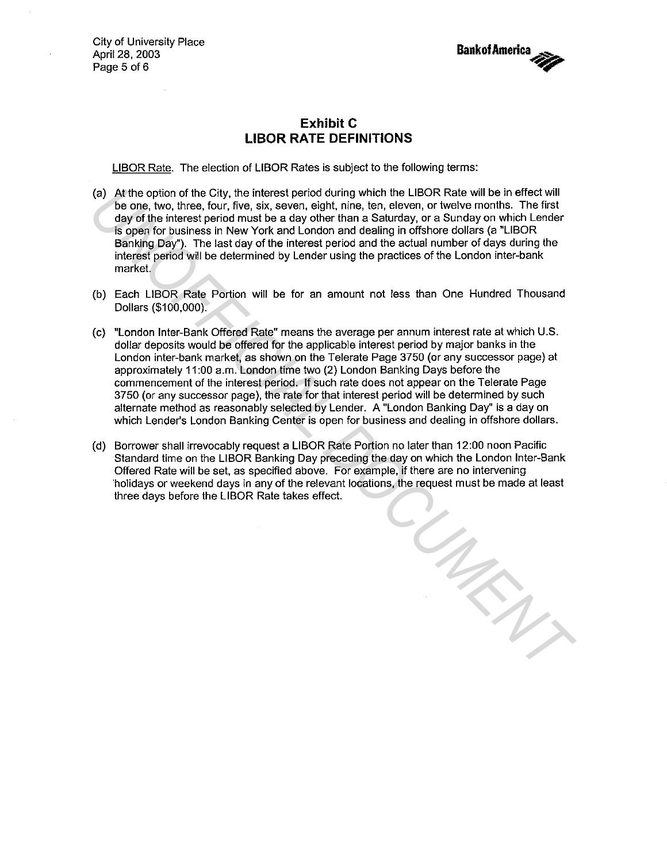City of University Place April 28, 2003 Page 5 of 6



## **Exhibit C LIBOR RATE DEFINITIONS**

LIBOR Rate. The election of LIBOR Rates is subject to the following terms:

- (a) At the option of the City, the interest period during which the LIBOR Rate will be in effect will be one, two, three, four, five, six, seven, eight, nine, ten, eleven, or twelve months. The first day of the interest period must be a day other than a Saturday, or a Sunday on which Lender is open for business in New York and London and dealing in offshore dollars (a "LIBOR Banking Day"). The last day of the interest period and the actual number of days during the interest period will be determined by Lender using the practices of the London inter-bank market.
- (b) Each LIBOR Rate Portion will be for an amount not less than One Hundred Thousand Dollars (\$100,000).
- (c) "London Inter-Bank Offered Rate" means the average per annum interest rate at which U.S. dollar deposits would be offered for the applicable interest period by major banks in the London inter-bank market, as shown on the Telerate Page 3750 (or any successor page) at approximately 11 :00 a.m. London time two (2) London Banking Days before the commencement of the interest period. If such rate does not appear on the Telerate Page 3750 (or any successor page), the rate for that interest period will be determined by such alternate method as reasonably selected by Lender. A "London Banking Day" is a day on which Lender's London Banking Center is open for business and dealing in offshore dollars.
- (d) Borrower shall irrevocably request a LIBOR Rate Portion no later than 12:00 noon Pacific Standard time on the LIBOR Banking Day preceding the day on which the London Inter-Bank Offered Rate will be set, as specified above. For example, if there are no intervening 'holidays or weekend days in any of the relevant locations, the request must be made at least three days before the LIBOR Rate takes effect. *UNOFFICIAL DOCUMENT*